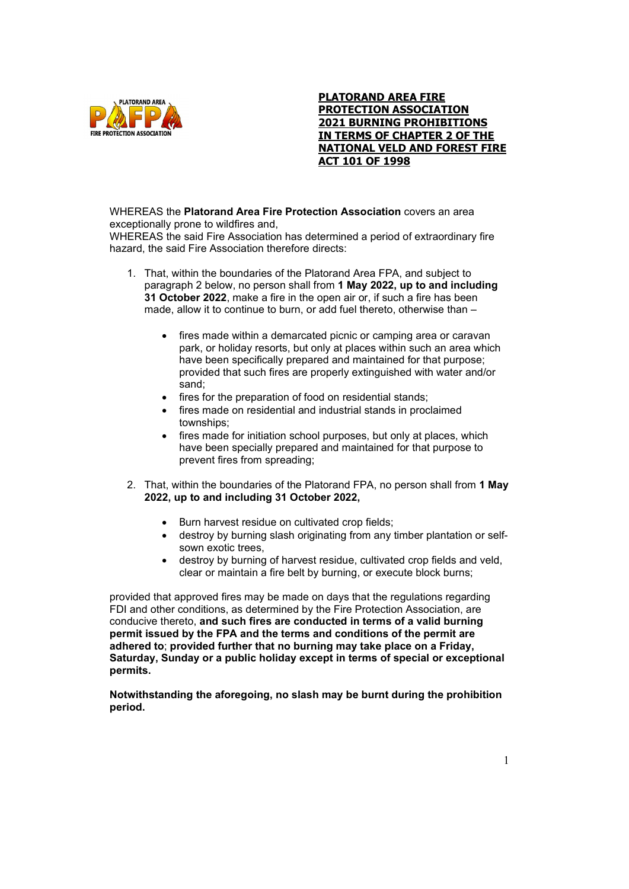

## **PLATORAND AREA FIRE PROTECTION ASSOCIATION 2021 BURNING PROHIBITIONS IN TERMS OF CHAPTER 2 OF THE NATIONAL VELD AND FOREST FIRE ACT 101 OF 1998**

## WHEREAS the **Platorand Area Fire Protection Association** covers an area exceptionally prone to wildfires and,

WHEREAS the said Fire Association has determined a period of extraordinary fire hazard, the said Fire Association therefore directs:

- 1. That, within the boundaries of the Platorand Area FPA, and subject to paragraph 2 below, no person shall from **1 May 2022, up to and including 31 October 2022**, make a fire in the open air or, if such a fire has been made, allow it to continue to burn, or add fuel thereto, otherwise than –
	- fires made within a demarcated picnic or camping area or caravan park, or holiday resorts, but only at places within such an area which have been specifically prepared and maintained for that purpose; provided that such fires are properly extinguished with water and/or sand;
	- fires for the preparation of food on residential stands;
	- fires made on residential and industrial stands in proclaimed townships;
	- fires made for initiation school purposes, but only at places, which have been specially prepared and maintained for that purpose to prevent fires from spreading;
- 2. That, within the boundaries of the Platorand FPA, no person shall from **1 May 2022, up to and including 31 October 2022,**
	- Burn harvest residue on cultivated crop fields;
	- destroy by burning slash originating from any timber plantation or selfsown exotic trees,
	- destroy by burning of harvest residue, cultivated crop fields and veld, clear or maintain a fire belt by burning, or execute block burns;

provided that approved fires may be made on days that the regulations regarding FDI and other conditions, as determined by the Fire Protection Association, are conducive thereto, **and such fires are conducted in terms of a valid burning permit issued by the FPA and the terms and conditions of the permit are adhered to**; **provided further that no burning may take place on a Friday, Saturday, Sunday or a public holiday except in terms of special or exceptional permits.** 

**Notwithstanding the aforegoing, no slash may be burnt during the prohibition period.**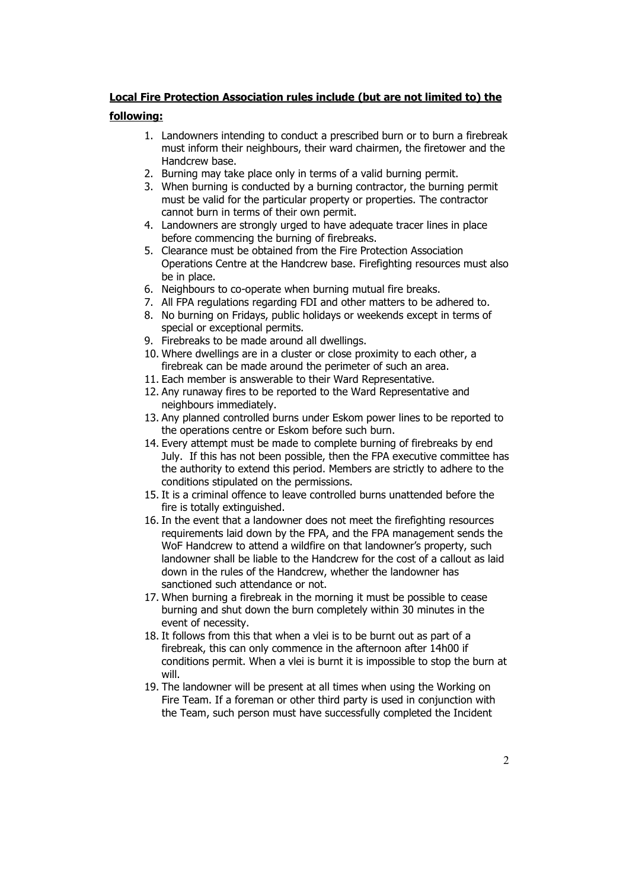## **Local Fire Protection Association rules include (but are not limited to) the**

## **following:**

- 1. Landowners intending to conduct a prescribed burn or to burn a firebreak must inform their neighbours, their ward chairmen, the firetower and the Handcrew base.
- 2. Burning may take place only in terms of a valid burning permit.
- 3. When burning is conducted by a burning contractor, the burning permit must be valid for the particular property or properties. The contractor cannot burn in terms of their own permit.
- 4. Landowners are strongly urged to have adequate tracer lines in place before commencing the burning of firebreaks.
- 5. Clearance must be obtained from the Fire Protection Association Operations Centre at the Handcrew base. Firefighting resources must also be in place.
- 6. Neighbours to co-operate when burning mutual fire breaks.
- 7. All FPA regulations regarding FDI and other matters to be adhered to.
- 8. No burning on Fridays, public holidays or weekends except in terms of special or exceptional permits.
- 9. Firebreaks to be made around all dwellings.
- 10. Where dwellings are in a cluster or close proximity to each other, a firebreak can be made around the perimeter of such an area.
- 11. Each member is answerable to their Ward Representative.
- 12. Any runaway fires to be reported to the Ward Representative and neighbours immediately.
- 13. Any planned controlled burns under Eskom power lines to be reported to the operations centre or Eskom before such burn.
- 14. Every attempt must be made to complete burning of firebreaks by end July. If this has not been possible, then the FPA executive committee has the authority to extend this period. Members are strictly to adhere to the conditions stipulated on the permissions.
- 15. It is a criminal offence to leave controlled burns unattended before the fire is totally extinguished.
- 16. In the event that a landowner does not meet the firefighting resources requirements laid down by the FPA, and the FPA management sends the WoF Handcrew to attend a wildfire on that landowner's property, such landowner shall be liable to the Handcrew for the cost of a callout as laid down in the rules of the Handcrew, whether the landowner has sanctioned such attendance or not.
- 17. When burning a firebreak in the morning it must be possible to cease burning and shut down the burn completely within 30 minutes in the event of necessity.
- 18. It follows from this that when a vlei is to be burnt out as part of a firebreak, this can only commence in the afternoon after 14h00 if conditions permit. When a vlei is burnt it is impossible to stop the burn at will.
- 19. The landowner will be present at all times when using the Working on Fire Team. If a foreman or other third party is used in conjunction with the Team, such person must have successfully completed the Incident